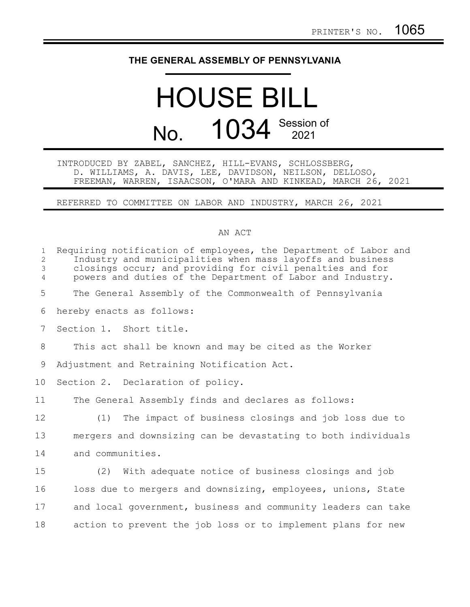## **THE GENERAL ASSEMBLY OF PENNSYLVANIA**

## HOUSE BILL No. 1034 Session of

## INTRODUCED BY ZABEL, SANCHEZ, HILL-EVANS, SCHLOSSBERG, D. WILLIAMS, A. DAVIS, LEE, DAVIDSON, NEILSON, DELLOSO, FREEMAN, WARREN, ISAACSON, O'MARA AND KINKEAD, MARCH 26, 2021

REFERRED TO COMMITTEE ON LABOR AND INDUSTRY, MARCH 26, 2021

## AN ACT

| $\mathbf 1$<br>2<br>3<br>4 | Requiring notification of employees, the Department of Labor and<br>Industry and municipalities when mass layoffs and business<br>closings occur; and providing for civil penalties and for<br>powers and duties of the Department of Labor and Industry. |
|----------------------------|-----------------------------------------------------------------------------------------------------------------------------------------------------------------------------------------------------------------------------------------------------------|
| 5                          | The General Assembly of the Commonwealth of Pennsylvania                                                                                                                                                                                                  |
| 6                          | hereby enacts as follows:                                                                                                                                                                                                                                 |
| $7\phantom{.0}$            | Section 1. Short title.                                                                                                                                                                                                                                   |
| 8                          | This act shall be known and may be cited as the Worker                                                                                                                                                                                                    |
| 9                          | Adjustment and Retraining Notification Act.                                                                                                                                                                                                               |
| 10                         | Section 2. Declaration of policy.                                                                                                                                                                                                                         |
| 11                         | The General Assembly finds and declares as follows:                                                                                                                                                                                                       |
| 12                         | The impact of business closings and job loss due to<br>(1)                                                                                                                                                                                                |
| 13                         | mergers and downsizing can be devastating to both individuals                                                                                                                                                                                             |
| 14                         | and communities.                                                                                                                                                                                                                                          |
| 15                         | (2) With adequate notice of business closings and job                                                                                                                                                                                                     |
| 16                         | loss due to mergers and downsizing, employees, unions, State                                                                                                                                                                                              |
| 17                         | and local government, business and community leaders can take                                                                                                                                                                                             |
| 18                         | action to prevent the job loss or to implement plans for new                                                                                                                                                                                              |
|                            |                                                                                                                                                                                                                                                           |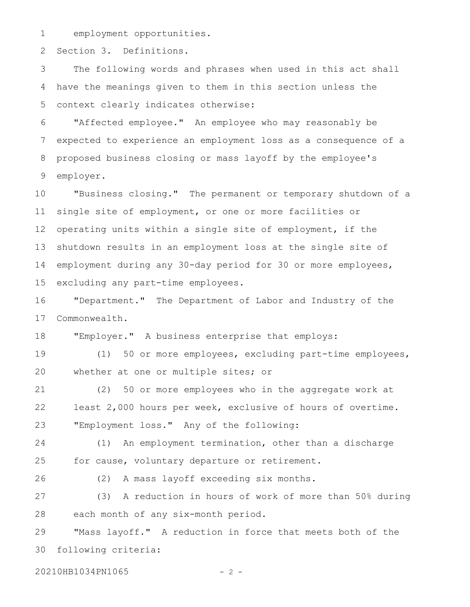employment opportunities. 1

Section 3. Definitions. 2

The following words and phrases when used in this act shall have the meanings given to them in this section unless the context clearly indicates otherwise: 3 4 5

"Affected employee." An employee who may reasonably be expected to experience an employment loss as a consequence of a proposed business closing or mass layoff by the employee's employer. 6 7 8 9

"Business closing." The permanent or temporary shutdown of a single site of employment, or one or more facilities or operating units within a single site of employment, if the shutdown results in an employment loss at the single site of employment during any 30-day period for 30 or more employees, excluding any part-time employees. 10 11 12 13 14 15

"Department." The Department of Labor and Industry of the Commonwealth. 16 17

"Employer." A business enterprise that employs: 18

(1) 50 or more employees, excluding part-time employees, whether at one or multiple sites; or 19 20

(2) 50 or more employees who in the aggregate work at least 2,000 hours per week, exclusive of hours of overtime. "Employment loss." Any of the following: 21 22 23

(1) An employment termination, other than a discharge for cause, voluntary departure or retirement. 24 25

26

(2) A mass layoff exceeding six months.

(3) A reduction in hours of work of more than 50% during each month of any six-month period. 27 28

"Mass layoff." A reduction in force that meets both of the following criteria: 29 30

20210HB1034PN1065 - 2 -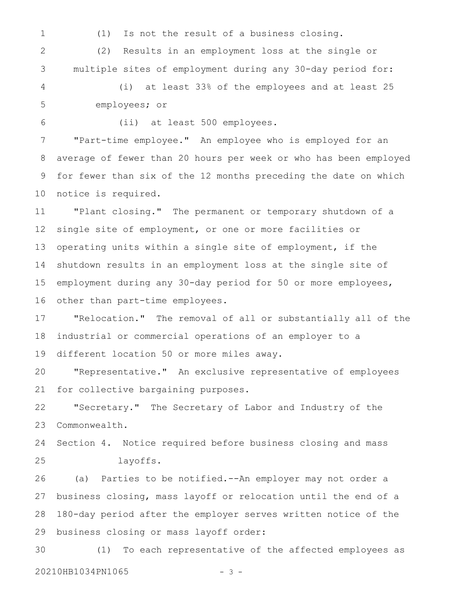(1) Is not the result of a business closing. (2) Results in an employment loss at the single or multiple sites of employment during any 30-day period for: (i) at least 33% of the employees and at least 25 employees; or (ii) at least 500 employees. "Part-time employee." An employee who is employed for an average of fewer than 20 hours per week or who has been employed for fewer than six of the 12 months preceding the date on which notice is required. "Plant closing." The permanent or temporary shutdown of a single site of employment, or one or more facilities or operating units within a single site of employment, if the shutdown results in an employment loss at the single site of employment during any 30-day period for 50 or more employees, other than part-time employees. "Relocation." The removal of all or substantially all of the industrial or commercial operations of an employer to a different location 50 or more miles away. "Representative." An exclusive representative of employees for collective bargaining purposes. "Secretary." The Secretary of Labor and Industry of the Commonwealth. Section 4. Notice required before business closing and mass layoffs. (a) Parties to be notified.--An employer may not order a business closing, mass layoff or relocation until the end of a 180-day period after the employer serves written notice of the business closing or mass layoff order: (1) To each representative of the affected employees as 20210HB1034PN1065 - 3 -1 2 3 4 5 6 7 8 9 10 11 12 13 14 15 16 17 18 19 20 21 22 23 24 25 26 27 28 29 30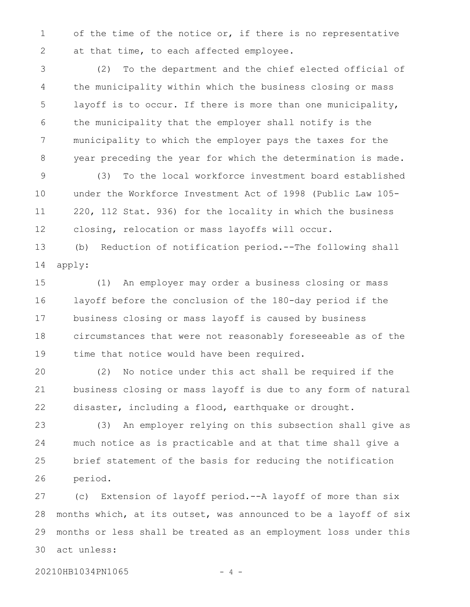of the time of the notice or, if there is no representative at that time, to each affected employee. 1 2

(2) To the department and the chief elected official of the municipality within which the business closing or mass layoff is to occur. If there is more than one municipality, the municipality that the employer shall notify is the municipality to which the employer pays the taxes for the year preceding the year for which the determination is made. 3 4 5 6 7 8

(3) To the local workforce investment board established under the Workforce Investment Act of 1998 (Public Law 105- 220, 112 Stat. 936) for the locality in which the business closing, relocation or mass layoffs will occur. 9 10 11 12

(b) Reduction of notification period.--The following shall apply: 13 14

(1) An employer may order a business closing or mass layoff before the conclusion of the 180-day period if the business closing or mass layoff is caused by business circumstances that were not reasonably foreseeable as of the time that notice would have been required. 15 16 17 18 19

(2) No notice under this act shall be required if the business closing or mass layoff is due to any form of natural disaster, including a flood, earthquake or drought. 20 21 22

(3) An employer relying on this subsection shall give as much notice as is practicable and at that time shall give a brief statement of the basis for reducing the notification period. 23 24 25 26

(c) Extension of layoff period.--A layoff of more than six months which, at its outset, was announced to be a layoff of six months or less shall be treated as an employment loss under this act unless: 27 28 29 30

20210HB1034PN1065 - 4 -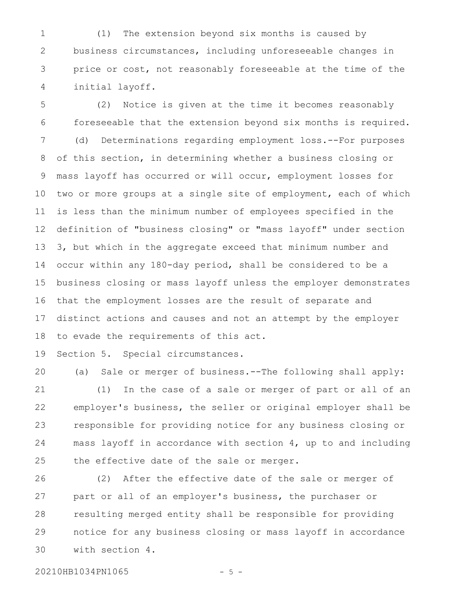(1) The extension beyond six months is caused by business circumstances, including unforeseeable changes in price or cost, not reasonably foreseeable at the time of the initial layoff. 1 2 3 4

(2) Notice is given at the time it becomes reasonably foreseeable that the extension beyond six months is required. (d) Determinations regarding employment loss.--For purposes of this section, in determining whether a business closing or mass layoff has occurred or will occur, employment losses for two or more groups at a single site of employment, each of which is less than the minimum number of employees specified in the definition of "business closing" or "mass layoff" under section 3, but which in the aggregate exceed that minimum number and occur within any 180-day period, shall be considered to be a business closing or mass layoff unless the employer demonstrates that the employment losses are the result of separate and distinct actions and causes and not an attempt by the employer to evade the requirements of this act. 5 6 7 8 9 10 11 12 13 14 15 16 17 18

Section 5. Special circumstances. 19

(a) Sale or merger of business.--The following shall apply: (1) In the case of a sale or merger of part or all of an employer's business, the seller or original employer shall be responsible for providing notice for any business closing or mass layoff in accordance with section 4, up to and including the effective date of the sale or merger. 20 21 22 23 24 25

(2) After the effective date of the sale or merger of part or all of an employer's business, the purchaser or resulting merged entity shall be responsible for providing notice for any business closing or mass layoff in accordance with section 4. 26 27 28 29 30

20210HB1034PN1065 - 5 -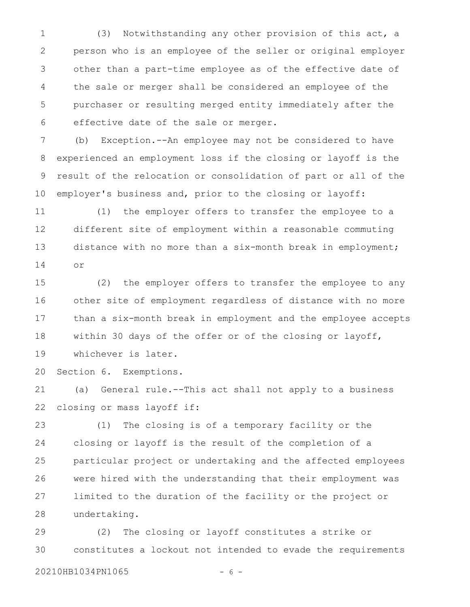(3) Notwithstanding any other provision of this act, a person who is an employee of the seller or original employer other than a part-time employee as of the effective date of the sale or merger shall be considered an employee of the purchaser or resulting merged entity immediately after the effective date of the sale or merger. 1 2 3 4 5 6

(b) Exception.--An employee may not be considered to have experienced an employment loss if the closing or layoff is the result of the relocation or consolidation of part or all of the employer's business and, prior to the closing or layoff: 7 8 9 10

(1) the employer offers to transfer the employee to a different site of employment within a reasonable commuting distance with no more than a six-month break in employment; or 11 12 13 14

(2) the employer offers to transfer the employee to any other site of employment regardless of distance with no more than a six-month break in employment and the employee accepts within 30 days of the offer or of the closing or layoff, whichever is later. 15 16 17 18 19

Section 6. Exemptions. 20

(a) General rule.--This act shall not apply to a business closing or mass layoff if: 21 22

(1) The closing is of a temporary facility or the closing or layoff is the result of the completion of a particular project or undertaking and the affected employees were hired with the understanding that their employment was limited to the duration of the facility or the project or undertaking. 23 24 25 26 27 28

(2) The closing or layoff constitutes a strike or constitutes a lockout not intended to evade the requirements 29 30

20210HB1034PN1065 - 6 -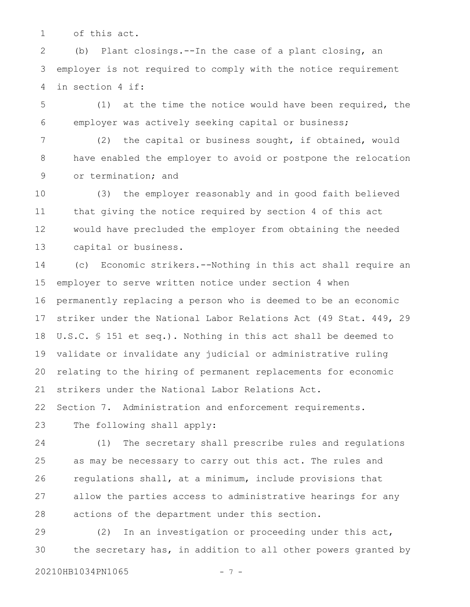of this act. 1

(b) Plant closings.--In the case of a plant closing, an employer is not required to comply with the notice requirement in section 4 if: 2 3 4

(1) at the time the notice would have been required, the employer was actively seeking capital or business; 5 6

(2) the capital or business sought, if obtained, would have enabled the employer to avoid or postpone the relocation or termination; and 7 8 9

(3) the employer reasonably and in good faith believed that giving the notice required by section 4 of this act would have precluded the employer from obtaining the needed capital or business. 10 11 12 13

(c) Economic strikers.--Nothing in this act shall require an employer to serve written notice under section 4 when permanently replacing a person who is deemed to be an economic striker under the National Labor Relations Act (49 Stat. 449, 29 U.S.C. § 151 et seq.). Nothing in this act shall be deemed to validate or invalidate any judicial or administrative ruling relating to the hiring of permanent replacements for economic strikers under the National Labor Relations Act. 14 15 16 17 18 19 20 21

Section 7. Administration and enforcement requirements. 22

The following shall apply: 23

(1) The secretary shall prescribe rules and regulations as may be necessary to carry out this act. The rules and regulations shall, at a minimum, include provisions that allow the parties access to administrative hearings for any actions of the department under this section. 24 25 26 27 28

(2) In an investigation or proceeding under this act, the secretary has, in addition to all other powers granted by 29 30

20210HB1034PN1065 - 7 -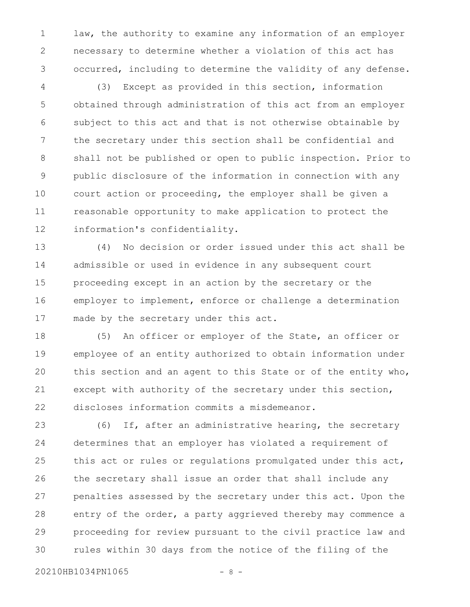law, the authority to examine any information of an employer necessary to determine whether a violation of this act has occurred, including to determine the validity of any defense. 1 2 3

(3) Except as provided in this section, information obtained through administration of this act from an employer subject to this act and that is not otherwise obtainable by the secretary under this section shall be confidential and shall not be published or open to public inspection. Prior to public disclosure of the information in connection with any court action or proceeding, the employer shall be given a reasonable opportunity to make application to protect the information's confidentiality. 4 5 6 7 8 9 10 11 12

(4) No decision or order issued under this act shall be admissible or used in evidence in any subsequent court proceeding except in an action by the secretary or the employer to implement, enforce or challenge a determination made by the secretary under this act. 13 14 15 16 17

(5) An officer or employer of the State, an officer or employee of an entity authorized to obtain information under this section and an agent to this State or of the entity who, except with authority of the secretary under this section, discloses information commits a misdemeanor. 18 19 20 21 22

(6) If, after an administrative hearing, the secretary determines that an employer has violated a requirement of this act or rules or regulations promulgated under this act, the secretary shall issue an order that shall include any penalties assessed by the secretary under this act. Upon the entry of the order, a party aggrieved thereby may commence a proceeding for review pursuant to the civil practice law and rules within 30 days from the notice of the filing of the 23 24 25 26 27 28 29 30

20210HB1034PN1065 - 8 -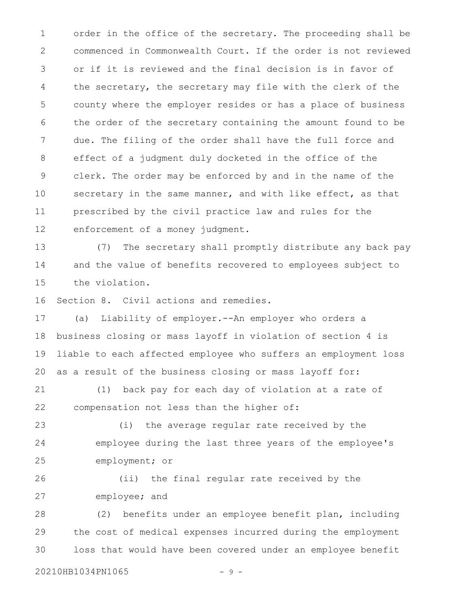order in the office of the secretary. The proceeding shall be commenced in Commonwealth Court. If the order is not reviewed or if it is reviewed and the final decision is in favor of the secretary, the secretary may file with the clerk of the county where the employer resides or has a place of business the order of the secretary containing the amount found to be due. The filing of the order shall have the full force and effect of a judgment duly docketed in the office of the clerk. The order may be enforced by and in the name of the secretary in the same manner, and with like effect, as that prescribed by the civil practice law and rules for the enforcement of a money judgment. 1 2 3 4 5 6 7 8 9 10 11 12

(7) The secretary shall promptly distribute any back pay and the value of benefits recovered to employees subject to the violation. 13 14 15

Section 8. Civil actions and remedies. 16

(a) Liability of employer.--An employer who orders a business closing or mass layoff in violation of section 4 is liable to each affected employee who suffers an employment loss as a result of the business closing or mass layoff for: 17 18 19 20

(1) back pay for each day of violation at a rate of compensation not less than the higher of: 21 22

(i) the average regular rate received by the employee during the last three years of the employee's employment; or 23 24 25

(ii) the final regular rate received by the employee; and 26 27

(2) benefits under an employee benefit plan, including the cost of medical expenses incurred during the employment loss that would have been covered under an employee benefit 28 29 30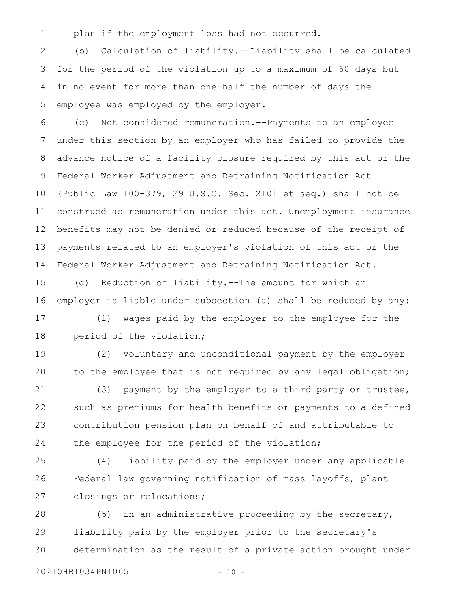plan if the employment loss had not occurred. 1

(b) Calculation of liability.--Liability shall be calculated for the period of the violation up to a maximum of 60 days but in no event for more than one-half the number of days the employee was employed by the employer. 2 3 4 5

(c) Not considered remuneration.--Payments to an employee under this section by an employer who has failed to provide the advance notice of a facility closure required by this act or the Federal Worker Adjustment and Retraining Notification Act (Public Law 100-379, 29 U.S.C. Sec. 2101 et seq.) shall not be construed as remuneration under this act. Unemployment insurance benefits may not be denied or reduced because of the receipt of payments related to an employer's violation of this act or the Federal Worker Adjustment and Retraining Notification Act. 6 7 8 9 10 11 12 13 14

(d) Reduction of liability.--The amount for which an employer is liable under subsection (a) shall be reduced by any: 15 16

(1) wages paid by the employer to the employee for the period of the violation; 17 18

(2) voluntary and unconditional payment by the employer to the employee that is not required by any legal obligation; 19 20

(3) payment by the employer to a third party or trustee, such as premiums for health benefits or payments to a defined contribution pension plan on behalf of and attributable to the employee for the period of the violation; 21 22 23 24

(4) liability paid by the employer under any applicable Federal law governing notification of mass layoffs, plant closings or relocations; 25 26 27

(5) in an administrative proceeding by the secretary, liability paid by the employer prior to the secretary's determination as the result of a private action brought under 28 29 30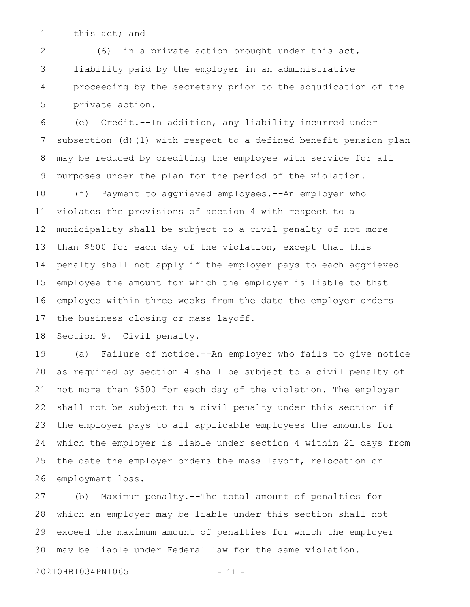this act; and 1

(6) in a private action brought under this act, liability paid by the employer in an administrative proceeding by the secretary prior to the adjudication of the private action. 2 3 4 5

(e) Credit.--In addition, any liability incurred under subsection (d)(1) with respect to a defined benefit pension plan may be reduced by crediting the employee with service for all purposes under the plan for the period of the violation. (f) Payment to aggrieved employees.--An employer who violates the provisions of section 4 with respect to a municipality shall be subject to a civil penalty of not more 6 7 8 9 10 11 12

than \$500 for each day of the violation, except that this penalty shall not apply if the employer pays to each aggrieved employee the amount for which the employer is liable to that employee within three weeks from the date the employer orders the business closing or mass layoff. 13 14 15 16 17

Section 9. Civil penalty. 18

(a) Failure of notice.--An employer who fails to give notice as required by section 4 shall be subject to a civil penalty of not more than \$500 for each day of the violation. The employer shall not be subject to a civil penalty under this section if the employer pays to all applicable employees the amounts for which the employer is liable under section 4 within 21 days from the date the employer orders the mass layoff, relocation or employment loss. 19 20 21 22 23 24 25 26

(b) Maximum penalty.--The total amount of penalties for which an employer may be liable under this section shall not exceed the maximum amount of penalties for which the employer may be liable under Federal law for the same violation. 27 28 29 30

20210HB1034PN1065 - 11 -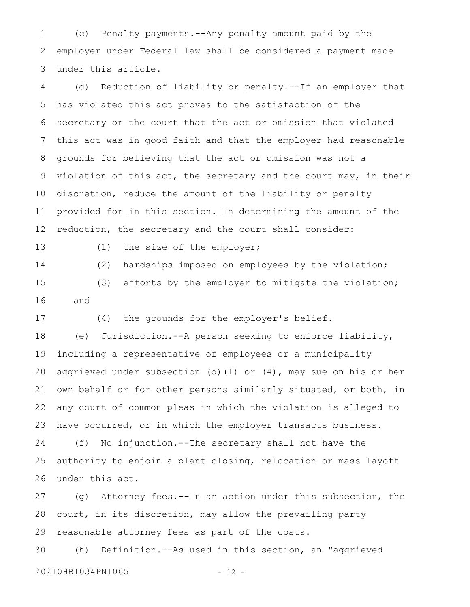(c) Penalty payments.--Any penalty amount paid by the employer under Federal law shall be considered a payment made under this article. 1 2 3

(d) Reduction of liability or penalty.--If an employer that has violated this act proves to the satisfaction of the secretary or the court that the act or omission that violated this act was in good faith and that the employer had reasonable grounds for believing that the act or omission was not a violation of this act, the secretary and the court may, in their discretion, reduce the amount of the liability or penalty provided for in this section. In determining the amount of the reduction, the secretary and the court shall consider: 4 5 6 7 8 9 10 11 12

13

(1) the size of the employer;

(2) hardships imposed on employees by the violation; (3) efforts by the employer to mitigate the violation; and 14 15 16

(4) the grounds for the employer's belief. 17

(e) Jurisdiction.--A person seeking to enforce liability, including a representative of employees or a municipality aggrieved under subsection (d)(1) or (4), may sue on his or her own behalf or for other persons similarly situated, or both, in any court of common pleas in which the violation is alleged to have occurred, or in which the employer transacts business. 18 19 20 21 22 23

(f) No injunction.--The secretary shall not have the authority to enjoin a plant closing, relocation or mass layoff under this act. 24 25 26

(g) Attorney fees.--In an action under this subsection, the court, in its discretion, may allow the prevailing party reasonable attorney fees as part of the costs. 27 28 29

(h) Definition.--As used in this section, an "aggrieved 20210HB1034PN1065 - 12 -30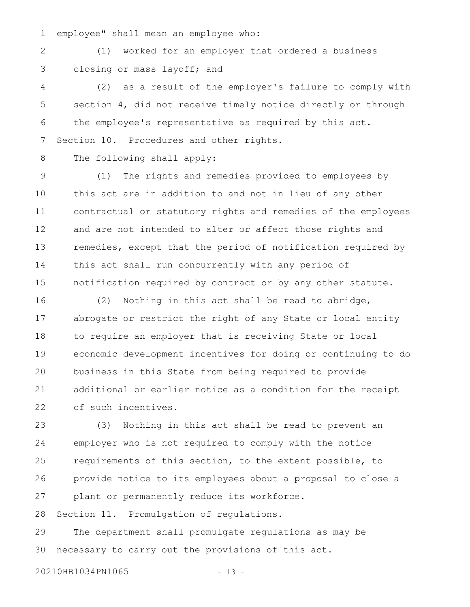employee" shall mean an employee who: 1

(1) worked for an employer that ordered a business closing or mass layoff; and 2 3

(2) as a result of the employer's failure to comply with section 4, did not receive timely notice directly or through the employee's representative as required by this act. Section 10. Procedures and other rights. 4 5 6 7

The following shall apply: 8

(1) The rights and remedies provided to employees by this act are in addition to and not in lieu of any other contractual or statutory rights and remedies of the employees and are not intended to alter or affect those rights and remedies, except that the period of notification required by this act shall run concurrently with any period of notification required by contract or by any other statute. 9 10 11 12 13 14 15

(2) Nothing in this act shall be read to abridge, abrogate or restrict the right of any State or local entity to require an employer that is receiving State or local economic development incentives for doing or continuing to do business in this State from being required to provide additional or earlier notice as a condition for the receipt of such incentives. 16 17 18 19 20 21 22

(3) Nothing in this act shall be read to prevent an employer who is not required to comply with the notice requirements of this section, to the extent possible, to provide notice to its employees about a proposal to close a plant or permanently reduce its workforce. 23 24 25 26 27

Section 11. Promulgation of regulations. 28

The department shall promulgate regulations as may be necessary to carry out the provisions of this act. 29 30

20210HB1034PN1065 - 13 -